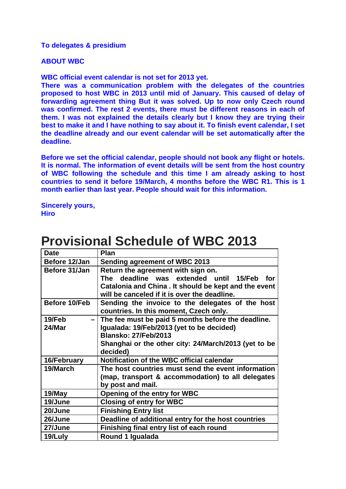## **To delegates & presidium**

## **ABOUT WBC**

**WBC official event calendar is not set for 2013 yet.** 

**There was a communication problem with the delegates of the countries proposed to host WBC in 2013 until mid of January. This caused of delay of forwarding agreement thing But it was solved. Up to now only Czech round was confirmed. The rest 2 events, there must be different reasons in each of them. I was not explained the details clearly but I know they are trying their best to make it and I have nothing to say about it. To finish event calendar, I set the deadline already and our event calendar will be set automatically after the deadline.** 

**Before we set the official calendar, people should not book any flight or hotels. It is normal. The information of event details will be sent from the host country of WBC following the schedule and this time I am already asking to host countries to send it before 19/March, 4 months before the WBC R1. This is 1 month earlier than last year. People should wait for this information.** 

**Sincerely yours, Hiro** 

| <b>Date</b>           | Plan                                                                                                                                                                                               |
|-----------------------|----------------------------------------------------------------------------------------------------------------------------------------------------------------------------------------------------|
| Before 12/Jan         | <b>Sending agreement of WBC 2013</b>                                                                                                                                                               |
| Before 31/Jan         | Return the agreement with sign on.<br>deadline was extended until<br>The<br>15/Feb<br>for<br>Catalonia and China. It should be kept and the event<br>will be canceled if it is over the deadline.  |
| Before 10/Feb         | Sending the invoice to the delegates of the host<br>countries. In this moment, Czech only.                                                                                                         |
| 19/Feb<br>-<br>24/Mar | The fee must be paid 5 months before the deadline.<br>Igualada: 19/Feb/2013 (yet to be decided)<br><b>Blansko: 27/Feb/2013</b><br>Shanghai or the other city: 24/March/2013 (yet to be<br>decided) |
| 16/February           | Notification of the WBC official calendar                                                                                                                                                          |
| 19/March              | The host countries must send the event information<br>(map, transport & accommodation) to all delegates<br>by post and mail.                                                                       |
| 19/May                | Opening of the entry for WBC                                                                                                                                                                       |
| 19/June               | <b>Closing of entry for WBC</b>                                                                                                                                                                    |
| 20/June               | <b>Finishing Entry list</b>                                                                                                                                                                        |
| 26/June               | Deadline of additional entry for the host countries                                                                                                                                                |
| 27/June               | Finishing final entry list of each round                                                                                                                                                           |
| 19/Luly               | Round 1 Igualada                                                                                                                                                                                   |

## **Provisional Schedule of WBC 2013**